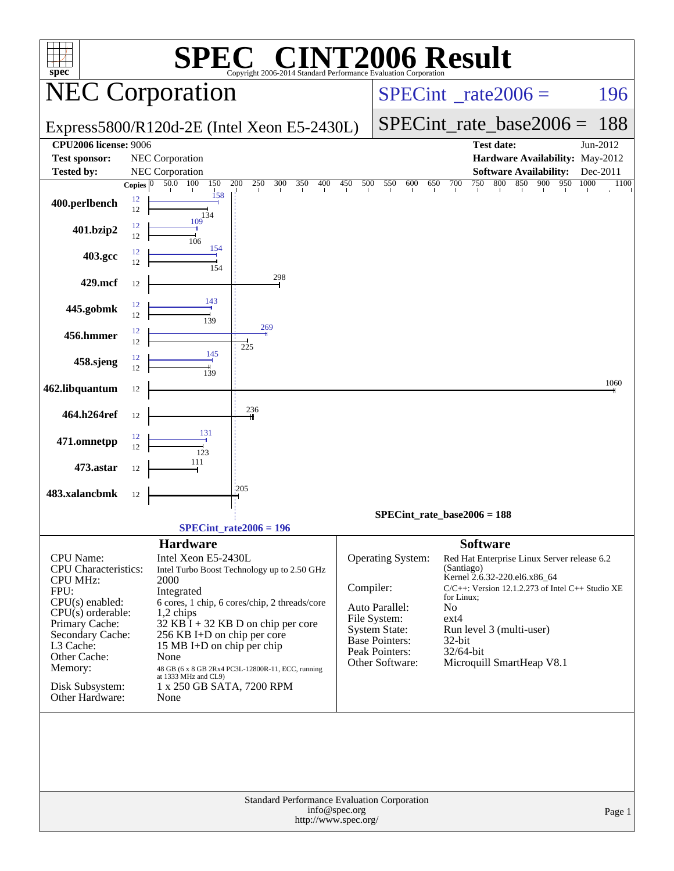| <b>INT2006 Result</b><br>$\lceil$ ' $\mathbb{R}$ $\lceil$ ' $\rceil$<br>H,( |              |                                           |                                                                           |                                          |                                        |                               |                                                                                       |              |  |  |  |
|-----------------------------------------------------------------------------|--------------|-------------------------------------------|---------------------------------------------------------------------------|------------------------------------------|----------------------------------------|-------------------------------|---------------------------------------------------------------------------------------|--------------|--|--|--|
| $spec^*$                                                                    |              |                                           | Copyright 2006-2014 Standard Performance Evaluation Corporation           | $SPECint^{\circ}$ <sub>_rate2006</sub> = |                                        |                               |                                                                                       |              |  |  |  |
| <b>NEC Corporation</b>                                                      |              |                                           |                                                                           |                                          |                                        |                               | 196                                                                                   |              |  |  |  |
|                                                                             |              |                                           | Express5800/R120d-2E (Intel Xeon E5-2430L)                                |                                          |                                        | $SPECint_rate\_base2006 =$    | 188                                                                                   |              |  |  |  |
| <b>CPU2006 license: 9006</b>                                                |              |                                           |                                                                           |                                          |                                        |                               | <b>Test date:</b>                                                                     | Jun-2012     |  |  |  |
| <b>Test sponsor:</b><br><b>Tested by:</b>                                   |              | NEC Corporation<br><b>NEC</b> Corporation |                                                                           |                                          |                                        |                               | Hardware Availability: May-2012<br><b>Software Availability:</b>                      | Dec-2011     |  |  |  |
|                                                                             | Copies $ 0 $ | 150<br>100<br>50.0                        | 250<br>300<br>200<br>350<br>400                                           | 450<br>500                               | 550<br>600<br>650                      | 700<br>750                    | 800<br>850<br>900<br>950                                                              | 1000<br>1100 |  |  |  |
| 400.perlbench                                                               | 12<br>12     | 158<br>134                                |                                                                           |                                          |                                        |                               |                                                                                       |              |  |  |  |
| 401.bzip2                                                                   | 12<br>12     | 109<br>106<br>154                         |                                                                           |                                          |                                        |                               |                                                                                       |              |  |  |  |
| 403.gcc                                                                     | 12<br>12     | 154                                       | 298                                                                       |                                          |                                        |                               |                                                                                       |              |  |  |  |
| 429.mcf                                                                     | 12           |                                           |                                                                           |                                          |                                        |                               |                                                                                       |              |  |  |  |
| 445.gobmk                                                                   | 12<br>12     | 143<br>139                                |                                                                           |                                          |                                        |                               |                                                                                       |              |  |  |  |
| 456.hmmer                                                                   | 12<br>12     |                                           | 269                                                                       |                                          |                                        |                               |                                                                                       |              |  |  |  |
| 458.sjeng                                                                   | 12<br>12     | 145<br>139                                | 225                                                                       |                                          |                                        |                               |                                                                                       |              |  |  |  |
| 462.libquantum                                                              | 12           |                                           |                                                                           |                                          |                                        |                               |                                                                                       | 1060         |  |  |  |
| 464.h264ref                                                                 | 12           |                                           | 236                                                                       |                                          |                                        |                               |                                                                                       |              |  |  |  |
| 471.omnetpp                                                                 | 12<br>12     | 131<br>123                                |                                                                           |                                          |                                        |                               |                                                                                       |              |  |  |  |
| 473.astar                                                                   | 12           | 111                                       |                                                                           |                                          |                                        |                               |                                                                                       |              |  |  |  |
| 483.xalancbmk                                                               | 12           |                                           | 1205                                                                      |                                          |                                        |                               |                                                                                       |              |  |  |  |
|                                                                             |              |                                           | $SPECint_rate2006 = 196$                                                  |                                          | $SPECint_rate_base2006 = 188$          |                               |                                                                                       |              |  |  |  |
|                                                                             |              |                                           |                                                                           |                                          |                                        |                               |                                                                                       |              |  |  |  |
| <b>CPU</b> Name:<br><b>CPU</b> Characteristics:                             |              | <b>Hardware</b><br>Intel Xeon E5-2430L    | Intel Turbo Boost Technology up to 2.50 GHz                               |                                          | Operating System:                      | <b>Software</b><br>(Santiago) | Red Hat Enterprise Linux Server release 6.2                                           |              |  |  |  |
| <b>CPU MHz:</b><br>FPU:                                                     |              | 2000<br>Integrated                        |                                                                           | Compiler:                                |                                        |                               | Kernel 2.6.32-220.el6.x86_64<br>$C/C++$ : Version 12.1.2.273 of Intel $C++$ Studio XE |              |  |  |  |
| $CPU(s)$ enabled:                                                           |              |                                           | 6 cores, 1 chip, 6 cores/chip, 2 threads/core                             |                                          | Auto Parallel:                         | for Linux;<br>N <sub>o</sub>  |                                                                                       |              |  |  |  |
| $CPU(s)$ orderable:<br>Primary Cache:                                       |              | $1,2$ chips                               | $32$ KB $\overline{I}$ + 32 KB D on chip per core                         |                                          | File System:                           | $ext{4}$                      |                                                                                       |              |  |  |  |
| Secondary Cache:                                                            |              | 256 KB I+D on chip per core               |                                                                           |                                          | <b>System State:</b><br>Base Pointers: | $32$ -bit                     | Run level 3 (multi-user)                                                              |              |  |  |  |
| L3 Cache:<br>Other Cache:                                                   |              | 15 MB I+D on chip per chip<br>None        |                                                                           |                                          | Peak Pointers:                         | 32/64-bit                     |                                                                                       |              |  |  |  |
| Memory:                                                                     |              |                                           | 48 GB (6 x 8 GB 2Rx4 PC3L-12800R-11, ECC, running<br>at 1333 MHz and CL9) |                                          | Other Software:                        |                               | Microquill SmartHeap V8.1                                                             |              |  |  |  |
| Disk Subsystem:<br>Other Hardware:                                          |              | None                                      | 1 x 250 GB SATA, 7200 RPM                                                 |                                          |                                        |                               |                                                                                       |              |  |  |  |
|                                                                             |              |                                           |                                                                           |                                          |                                        |                               |                                                                                       |              |  |  |  |
|                                                                             |              |                                           |                                                                           |                                          |                                        |                               |                                                                                       |              |  |  |  |
|                                                                             |              |                                           |                                                                           |                                          |                                        |                               |                                                                                       |              |  |  |  |
|                                                                             |              |                                           | Standard Performance Evaluation Corporation                               | info@spec.org                            |                                        |                               |                                                                                       |              |  |  |  |
|                                                                             |              |                                           |                                                                           | http://www.spec.org/                     |                                        |                               |                                                                                       | Page 1       |  |  |  |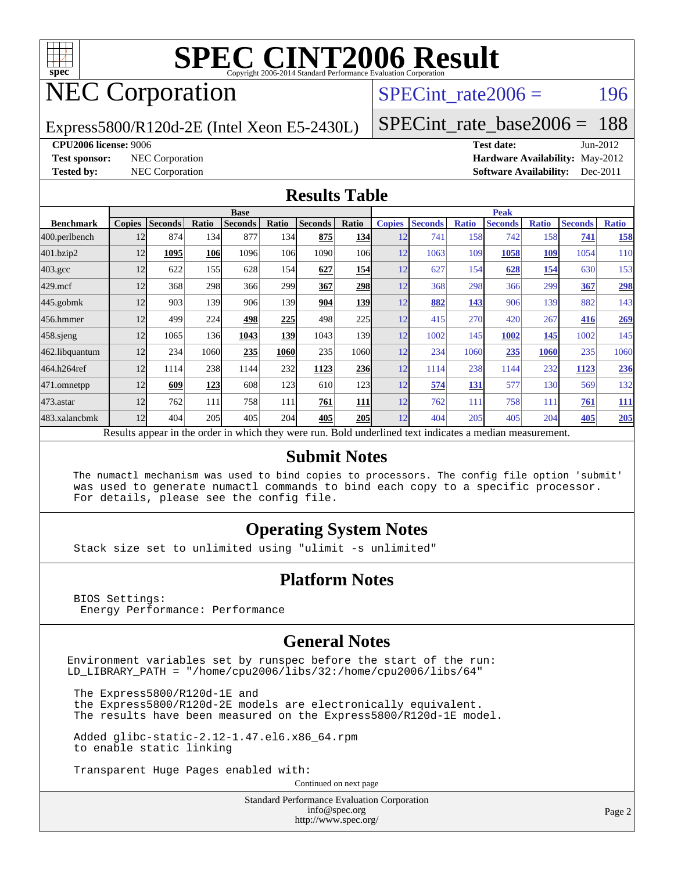

## NEC Corporation

SPECint rate $2006 = 196$ 

#### Express5800/R120d-2E (Intel Xeon E5-2430L)

[SPECint\\_rate\\_base2006 =](http://www.spec.org/auto/cpu2006/Docs/result-fields.html#SPECintratebase2006) 188

**[CPU2006 license:](http://www.spec.org/auto/cpu2006/Docs/result-fields.html#CPU2006license)** 9006 **[Test date:](http://www.spec.org/auto/cpu2006/Docs/result-fields.html#Testdate)** Jun-2012 **[Test sponsor:](http://www.spec.org/auto/cpu2006/Docs/result-fields.html#Testsponsor)** NEC Corporation **[Hardware Availability:](http://www.spec.org/auto/cpu2006/Docs/result-fields.html#HardwareAvailability)** May-2012 **[Tested by:](http://www.spec.org/auto/cpu2006/Docs/result-fields.html#Testedby)** NEC Corporation **[Software Availability:](http://www.spec.org/auto/cpu2006/Docs/result-fields.html#SoftwareAvailability)** Dec-2011

#### **[Results Table](http://www.spec.org/auto/cpu2006/Docs/result-fields.html#ResultsTable)**

|                                                                                                          | <b>Base</b>   |                |              |                |            |                |                  | <b>Peak</b>   |                |              |                |              |                |              |
|----------------------------------------------------------------------------------------------------------|---------------|----------------|--------------|----------------|------------|----------------|------------------|---------------|----------------|--------------|----------------|--------------|----------------|--------------|
| <b>Benchmark</b>                                                                                         | <b>Copies</b> | <b>Seconds</b> | <b>Ratio</b> | <b>Seconds</b> | Ratio      | <b>Seconds</b> | Ratio            | <b>Copies</b> | <b>Seconds</b> | <b>Ratio</b> | <b>Seconds</b> | <b>Ratio</b> | <b>Seconds</b> | <b>Ratio</b> |
| 400.perlbench                                                                                            | 12            | 874            | 134          | 877            | 134        | 875            | <b>134</b>       | 12            | 741            | 158          | 742            | 158          | 741            | 158          |
| 401.bzip2                                                                                                | 12            | 1095           | 106          | 1096           | 106        | 1090           | 106              | 12            | 1063           | 109          | 1058           | 109          | 1054           | 110          |
| $403.\mathrm{gcc}$                                                                                       | 12            | 622            | 155          | 628            | 154        | 627            | 154              | 12            | 627            | 154          | 628            | 154          | 630            | 153          |
| $429$ .mcf                                                                                               | 12            | 368            | 298          | 366            | 299        | 367            | 298              | 12            | 368            | 298          | 366            | 299          | 367            | 298          |
| $445$ .gobm $k$                                                                                          | 12            | 903            | 139          | 906            | 139        | 904            | 139              | 12            | 882            | 143          | 906            | 139          | 882            | 143          |
| 456.hmmer                                                                                                | 12            | 499            | 224          | 498            | 225        | 498            | 225              | 12            | 415            | 270          | 420            | 267          | 416            | <u>269</u>   |
| $458$ .sjeng                                                                                             | 12            | 1065           | 136          | 1043           | 139        | 1043           | 139 <sub>l</sub> | 12            | 1002           | 145          | 1002           | 145          | 1002           | 145          |
| 462.libquantum                                                                                           | 12            | 234            | 1060         | 235            | 1060       | 235            | 1060             | 12            | 234            | 1060         | 235            | 1060         | 235            | 1060         |
| 464.h264ref                                                                                              | 12            | 1114           | 238          | 1144           | 232        | 1123           | 236              | 12            | 1114           | 238          | 1144           | 232          | 1123           | 236          |
| 471.omnetpp                                                                                              | 12            | 609            | 123          | 608            | 123        | 610            | 123              | 12            | 574            | 131          | 577            | 130          | 569            | 132          |
| $473.$ astar                                                                                             | 12            | 762            | 111          | 758            | 111        | 761            | 111              | 12            | 762            | 111          | 758            | 111          | 761            | <u>111</u>   |
| 483.xalancbmk                                                                                            | 12            | 404            | 205          | 405            | <b>204</b> | 405            | <b>205</b>       | 12            | 404            | 205          | 405            | 204          | 405            | 205          |
| Results appear in the order in which they were run. Bold underlined text indicates a median measurement. |               |                |              |                |            |                |                  |               |                |              |                |              |                |              |

#### **[Submit Notes](http://www.spec.org/auto/cpu2006/Docs/result-fields.html#SubmitNotes)**

 The numactl mechanism was used to bind copies to processors. The config file option 'submit' was used to generate numactl commands to bind each copy to a specific processor. For details, please see the config file.

### **[Operating System Notes](http://www.spec.org/auto/cpu2006/Docs/result-fields.html#OperatingSystemNotes)**

Stack size set to unlimited using "ulimit -s unlimited"

#### **[Platform Notes](http://www.spec.org/auto/cpu2006/Docs/result-fields.html#PlatformNotes)**

 BIOS Settings: Energy Performance: Performance

#### **[General Notes](http://www.spec.org/auto/cpu2006/Docs/result-fields.html#GeneralNotes)**

Environment variables set by runspec before the start of the run: LD\_LIBRARY\_PATH = "/home/cpu2006/libs/32:/home/cpu2006/libs/64"

 The Express5800/R120d-1E and the Express5800/R120d-2E models are electronically equivalent. The results have been measured on the Express5800/R120d-1E model.

 Added glibc-static-2.12-1.47.el6.x86\_64.rpm to enable static linking

Transparent Huge Pages enabled with:

Continued on next page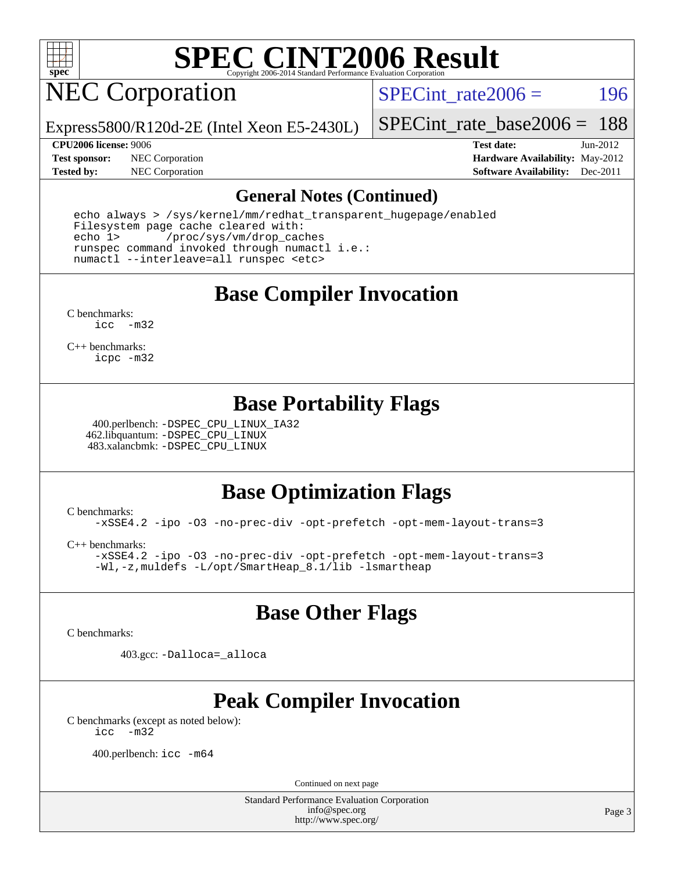

## NEC Corporation

SPECint rate $2006 = 196$ 

Express5800/R120d-2E (Intel Xeon E5-2430L)

[SPECint\\_rate\\_base2006 =](http://www.spec.org/auto/cpu2006/Docs/result-fields.html#SPECintratebase2006) 188

**[Test sponsor:](http://www.spec.org/auto/cpu2006/Docs/result-fields.html#Testsponsor)** NEC Corporation **[Hardware Availability:](http://www.spec.org/auto/cpu2006/Docs/result-fields.html#HardwareAvailability)** May-2012

**[CPU2006 license:](http://www.spec.org/auto/cpu2006/Docs/result-fields.html#CPU2006license)** 9006 **[Test date:](http://www.spec.org/auto/cpu2006/Docs/result-fields.html#Testdate)** Jun-2012 **[Tested by:](http://www.spec.org/auto/cpu2006/Docs/result-fields.html#Testedby)** NEC Corporation **[Software Availability:](http://www.spec.org/auto/cpu2006/Docs/result-fields.html#SoftwareAvailability)** Dec-2011

#### **[General Notes \(Continued\)](http://www.spec.org/auto/cpu2006/Docs/result-fields.html#GeneralNotes)**

 echo always > /sys/kernel/mm/redhat\_transparent\_hugepage/enabled Filesystem page cache cleared with: echo 1> /proc/sys/vm/drop\_caches runspec command invoked through numactl i.e.: numactl --interleave=all runspec <etc>

**[Base Compiler Invocation](http://www.spec.org/auto/cpu2006/Docs/result-fields.html#BaseCompilerInvocation)**

[C benchmarks](http://www.spec.org/auto/cpu2006/Docs/result-fields.html#Cbenchmarks): [icc -m32](http://www.spec.org/cpu2006/results/res2012q3/cpu2006-20120617-22947.flags.html#user_CCbase_intel_icc_5ff4a39e364c98233615fdd38438c6f2)

[C++ benchmarks:](http://www.spec.org/auto/cpu2006/Docs/result-fields.html#CXXbenchmarks) [icpc -m32](http://www.spec.org/cpu2006/results/res2012q3/cpu2006-20120617-22947.flags.html#user_CXXbase_intel_icpc_4e5a5ef1a53fd332b3c49e69c3330699)

### **[Base Portability Flags](http://www.spec.org/auto/cpu2006/Docs/result-fields.html#BasePortabilityFlags)**

 400.perlbench: [-DSPEC\\_CPU\\_LINUX\\_IA32](http://www.spec.org/cpu2006/results/res2012q3/cpu2006-20120617-22947.flags.html#b400.perlbench_baseCPORTABILITY_DSPEC_CPU_LINUX_IA32) 462.libquantum: [-DSPEC\\_CPU\\_LINUX](http://www.spec.org/cpu2006/results/res2012q3/cpu2006-20120617-22947.flags.html#b462.libquantum_baseCPORTABILITY_DSPEC_CPU_LINUX) 483.xalancbmk: [-DSPEC\\_CPU\\_LINUX](http://www.spec.org/cpu2006/results/res2012q3/cpu2006-20120617-22947.flags.html#b483.xalancbmk_baseCXXPORTABILITY_DSPEC_CPU_LINUX)

### **[Base Optimization Flags](http://www.spec.org/auto/cpu2006/Docs/result-fields.html#BaseOptimizationFlags)**

[C benchmarks](http://www.spec.org/auto/cpu2006/Docs/result-fields.html#Cbenchmarks): [-xSSE4.2](http://www.spec.org/cpu2006/results/res2012q3/cpu2006-20120617-22947.flags.html#user_CCbase_f-xSSE42_f91528193cf0b216347adb8b939d4107) [-ipo](http://www.spec.org/cpu2006/results/res2012q3/cpu2006-20120617-22947.flags.html#user_CCbase_f-ipo) [-O3](http://www.spec.org/cpu2006/results/res2012q3/cpu2006-20120617-22947.flags.html#user_CCbase_f-O3) [-no-prec-div](http://www.spec.org/cpu2006/results/res2012q3/cpu2006-20120617-22947.flags.html#user_CCbase_f-no-prec-div) [-opt-prefetch](http://www.spec.org/cpu2006/results/res2012q3/cpu2006-20120617-22947.flags.html#user_CCbase_f-opt-prefetch) [-opt-mem-layout-trans=3](http://www.spec.org/cpu2006/results/res2012q3/cpu2006-20120617-22947.flags.html#user_CCbase_f-opt-mem-layout-trans_a7b82ad4bd7abf52556d4961a2ae94d5)

[C++ benchmarks:](http://www.spec.org/auto/cpu2006/Docs/result-fields.html#CXXbenchmarks) [-xSSE4.2](http://www.spec.org/cpu2006/results/res2012q3/cpu2006-20120617-22947.flags.html#user_CXXbase_f-xSSE42_f91528193cf0b216347adb8b939d4107) [-ipo](http://www.spec.org/cpu2006/results/res2012q3/cpu2006-20120617-22947.flags.html#user_CXXbase_f-ipo) [-O3](http://www.spec.org/cpu2006/results/res2012q3/cpu2006-20120617-22947.flags.html#user_CXXbase_f-O3) [-no-prec-div](http://www.spec.org/cpu2006/results/res2012q3/cpu2006-20120617-22947.flags.html#user_CXXbase_f-no-prec-div) [-opt-prefetch](http://www.spec.org/cpu2006/results/res2012q3/cpu2006-20120617-22947.flags.html#user_CXXbase_f-opt-prefetch) [-opt-mem-layout-trans=3](http://www.spec.org/cpu2006/results/res2012q3/cpu2006-20120617-22947.flags.html#user_CXXbase_f-opt-mem-layout-trans_a7b82ad4bd7abf52556d4961a2ae94d5) [-Wl,-z,muldefs](http://www.spec.org/cpu2006/results/res2012q3/cpu2006-20120617-22947.flags.html#user_CXXbase_link_force_multiple1_74079c344b956b9658436fd1b6dd3a8a) [-L/opt/SmartHeap\\_8.1/lib -lsmartheap](http://www.spec.org/cpu2006/results/res2012q3/cpu2006-20120617-22947.flags.html#user_CXXbase_SmartHeap_d5ba4dfc9de25d3c657c7de7476e66c5)

### **[Base Other Flags](http://www.spec.org/auto/cpu2006/Docs/result-fields.html#BaseOtherFlags)**

[C benchmarks](http://www.spec.org/auto/cpu2006/Docs/result-fields.html#Cbenchmarks):

403.gcc: [-Dalloca=\\_alloca](http://www.spec.org/cpu2006/results/res2012q3/cpu2006-20120617-22947.flags.html#b403.gcc_baseEXTRA_CFLAGS_Dalloca_be3056838c12de2578596ca5467af7f3)

## **[Peak Compiler Invocation](http://www.spec.org/auto/cpu2006/Docs/result-fields.html#PeakCompilerInvocation)**

[C benchmarks \(except as noted below\)](http://www.spec.org/auto/cpu2006/Docs/result-fields.html#Cbenchmarksexceptasnotedbelow): [icc -m32](http://www.spec.org/cpu2006/results/res2012q3/cpu2006-20120617-22947.flags.html#user_CCpeak_intel_icc_5ff4a39e364c98233615fdd38438c6f2)

400.perlbench: [icc -m64](http://www.spec.org/cpu2006/results/res2012q3/cpu2006-20120617-22947.flags.html#user_peakCCLD400_perlbench_intel_icc_64bit_bda6cc9af1fdbb0edc3795bac97ada53)

Continued on next page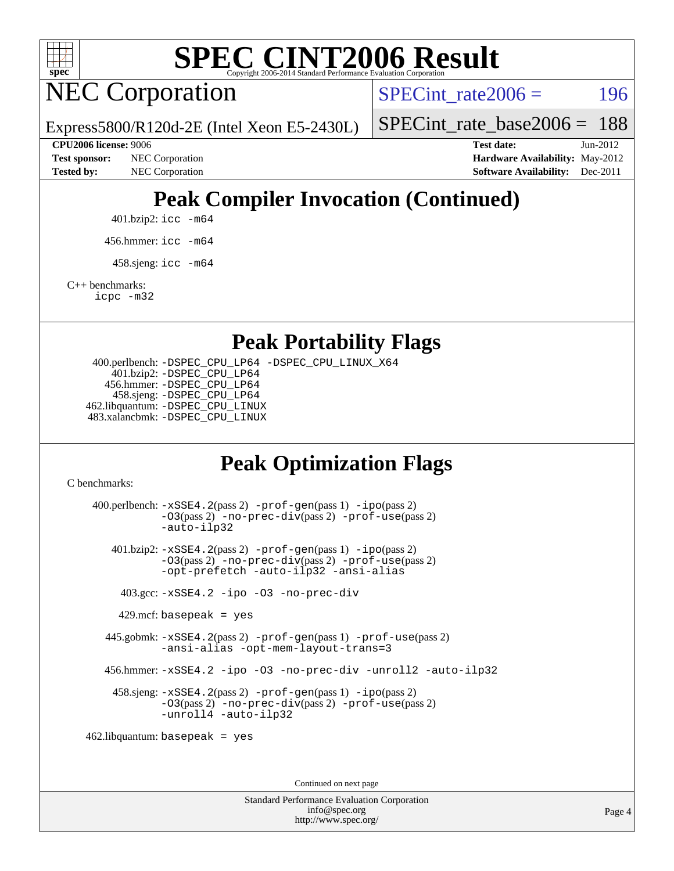

NEC Corporation

SPECint rate $2006 = 196$ 

[SPECint\\_rate\\_base2006 =](http://www.spec.org/auto/cpu2006/Docs/result-fields.html#SPECintratebase2006) 188

Express5800/R120d-2E (Intel Xeon E5-2430L)

**[Test sponsor:](http://www.spec.org/auto/cpu2006/Docs/result-fields.html#Testsponsor)** NEC Corporation **[Hardware Availability:](http://www.spec.org/auto/cpu2006/Docs/result-fields.html#HardwareAvailability)** May-2012

**[CPU2006 license:](http://www.spec.org/auto/cpu2006/Docs/result-fields.html#CPU2006license)** 9006 **[Test date:](http://www.spec.org/auto/cpu2006/Docs/result-fields.html#Testdate)** Jun-2012 **[Tested by:](http://www.spec.org/auto/cpu2006/Docs/result-fields.html#Testedby)** NEC Corporation **[Software Availability:](http://www.spec.org/auto/cpu2006/Docs/result-fields.html#SoftwareAvailability)** Dec-2011

## **[Peak Compiler Invocation \(Continued\)](http://www.spec.org/auto/cpu2006/Docs/result-fields.html#PeakCompilerInvocation)**

401.bzip2: [icc -m64](http://www.spec.org/cpu2006/results/res2012q3/cpu2006-20120617-22947.flags.html#user_peakCCLD401_bzip2_intel_icc_64bit_bda6cc9af1fdbb0edc3795bac97ada53)

456.hmmer: [icc -m64](http://www.spec.org/cpu2006/results/res2012q3/cpu2006-20120617-22947.flags.html#user_peakCCLD456_hmmer_intel_icc_64bit_bda6cc9af1fdbb0edc3795bac97ada53)

 $458 \text{.}$ sjeng: icc  $-\text{m64}$ 

[C++ benchmarks:](http://www.spec.org/auto/cpu2006/Docs/result-fields.html#CXXbenchmarks)

[icpc -m32](http://www.spec.org/cpu2006/results/res2012q3/cpu2006-20120617-22947.flags.html#user_CXXpeak_intel_icpc_4e5a5ef1a53fd332b3c49e69c3330699)

**[Peak Portability Flags](http://www.spec.org/auto/cpu2006/Docs/result-fields.html#PeakPortabilityFlags)**

 400.perlbench: [-DSPEC\\_CPU\\_LP64](http://www.spec.org/cpu2006/results/res2012q3/cpu2006-20120617-22947.flags.html#b400.perlbench_peakCPORTABILITY_DSPEC_CPU_LP64) [-DSPEC\\_CPU\\_LINUX\\_X64](http://www.spec.org/cpu2006/results/res2012q3/cpu2006-20120617-22947.flags.html#b400.perlbench_peakCPORTABILITY_DSPEC_CPU_LINUX_X64) 401.bzip2: [-DSPEC\\_CPU\\_LP64](http://www.spec.org/cpu2006/results/res2012q3/cpu2006-20120617-22947.flags.html#suite_peakCPORTABILITY401_bzip2_DSPEC_CPU_LP64) 456.hmmer: [-DSPEC\\_CPU\\_LP64](http://www.spec.org/cpu2006/results/res2012q3/cpu2006-20120617-22947.flags.html#suite_peakCPORTABILITY456_hmmer_DSPEC_CPU_LP64) 458.sjeng: [-DSPEC\\_CPU\\_LP64](http://www.spec.org/cpu2006/results/res2012q3/cpu2006-20120617-22947.flags.html#suite_peakCPORTABILITY458_sjeng_DSPEC_CPU_LP64) 462.libquantum: [-DSPEC\\_CPU\\_LINUX](http://www.spec.org/cpu2006/results/res2012q3/cpu2006-20120617-22947.flags.html#b462.libquantum_peakCPORTABILITY_DSPEC_CPU_LINUX) 483.xalancbmk: [-DSPEC\\_CPU\\_LINUX](http://www.spec.org/cpu2006/results/res2012q3/cpu2006-20120617-22947.flags.html#b483.xalancbmk_peakCXXPORTABILITY_DSPEC_CPU_LINUX)

## **[Peak Optimization Flags](http://www.spec.org/auto/cpu2006/Docs/result-fields.html#PeakOptimizationFlags)**

[C benchmarks](http://www.spec.org/auto/cpu2006/Docs/result-fields.html#Cbenchmarks):

 400.perlbench: [-xSSE4.2](http://www.spec.org/cpu2006/results/res2012q3/cpu2006-20120617-22947.flags.html#user_peakPASS2_CFLAGSPASS2_LDCFLAGS400_perlbench_f-xSSE42_f91528193cf0b216347adb8b939d4107)(pass 2) [-prof-gen](http://www.spec.org/cpu2006/results/res2012q3/cpu2006-20120617-22947.flags.html#user_peakPASS1_CFLAGSPASS1_LDCFLAGS400_perlbench_prof_gen_e43856698f6ca7b7e442dfd80e94a8fc)(pass 1) [-ipo](http://www.spec.org/cpu2006/results/res2012q3/cpu2006-20120617-22947.flags.html#user_peakPASS2_CFLAGSPASS2_LDCFLAGS400_perlbench_f-ipo)(pass 2) [-O3](http://www.spec.org/cpu2006/results/res2012q3/cpu2006-20120617-22947.flags.html#user_peakPASS2_CFLAGSPASS2_LDCFLAGS400_perlbench_f-O3)(pass 2) [-no-prec-div](http://www.spec.org/cpu2006/results/res2012q3/cpu2006-20120617-22947.flags.html#user_peakPASS2_CFLAGSPASS2_LDCFLAGS400_perlbench_f-no-prec-div)(pass 2) [-prof-use](http://www.spec.org/cpu2006/results/res2012q3/cpu2006-20120617-22947.flags.html#user_peakPASS2_CFLAGSPASS2_LDCFLAGS400_perlbench_prof_use_bccf7792157ff70d64e32fe3e1250b55)(pass 2) [-auto-ilp32](http://www.spec.org/cpu2006/results/res2012q3/cpu2006-20120617-22947.flags.html#user_peakCOPTIMIZE400_perlbench_f-auto-ilp32) 401.bzip2: [-xSSE4.2](http://www.spec.org/cpu2006/results/res2012q3/cpu2006-20120617-22947.flags.html#user_peakPASS2_CFLAGSPASS2_LDCFLAGS401_bzip2_f-xSSE42_f91528193cf0b216347adb8b939d4107)(pass 2) [-prof-gen](http://www.spec.org/cpu2006/results/res2012q3/cpu2006-20120617-22947.flags.html#user_peakPASS1_CFLAGSPASS1_LDCFLAGS401_bzip2_prof_gen_e43856698f6ca7b7e442dfd80e94a8fc)(pass 1) [-ipo](http://www.spec.org/cpu2006/results/res2012q3/cpu2006-20120617-22947.flags.html#user_peakPASS2_CFLAGSPASS2_LDCFLAGS401_bzip2_f-ipo)(pass 2) [-O3](http://www.spec.org/cpu2006/results/res2012q3/cpu2006-20120617-22947.flags.html#user_peakPASS2_CFLAGSPASS2_LDCFLAGS401_bzip2_f-O3)(pass 2) [-no-prec-div](http://www.spec.org/cpu2006/results/res2012q3/cpu2006-20120617-22947.flags.html#user_peakPASS2_CFLAGSPASS2_LDCFLAGS401_bzip2_f-no-prec-div)(pass 2) [-prof-use](http://www.spec.org/cpu2006/results/res2012q3/cpu2006-20120617-22947.flags.html#user_peakPASS2_CFLAGSPASS2_LDCFLAGS401_bzip2_prof_use_bccf7792157ff70d64e32fe3e1250b55)(pass 2) [-opt-prefetch](http://www.spec.org/cpu2006/results/res2012q3/cpu2006-20120617-22947.flags.html#user_peakCOPTIMIZE401_bzip2_f-opt-prefetch) [-auto-ilp32](http://www.spec.org/cpu2006/results/res2012q3/cpu2006-20120617-22947.flags.html#user_peakCOPTIMIZE401_bzip2_f-auto-ilp32) [-ansi-alias](http://www.spec.org/cpu2006/results/res2012q3/cpu2006-20120617-22947.flags.html#user_peakCOPTIMIZE401_bzip2_f-ansi-alias) 403.gcc: [-xSSE4.2](http://www.spec.org/cpu2006/results/res2012q3/cpu2006-20120617-22947.flags.html#user_peakCOPTIMIZE403_gcc_f-xSSE42_f91528193cf0b216347adb8b939d4107) [-ipo](http://www.spec.org/cpu2006/results/res2012q3/cpu2006-20120617-22947.flags.html#user_peakCOPTIMIZE403_gcc_f-ipo) [-O3](http://www.spec.org/cpu2006/results/res2012q3/cpu2006-20120617-22947.flags.html#user_peakCOPTIMIZE403_gcc_f-O3) [-no-prec-div](http://www.spec.org/cpu2006/results/res2012q3/cpu2006-20120617-22947.flags.html#user_peakCOPTIMIZE403_gcc_f-no-prec-div)  $429$ .mcf: basepeak = yes 445.gobmk: [-xSSE4.2](http://www.spec.org/cpu2006/results/res2012q3/cpu2006-20120617-22947.flags.html#user_peakPASS2_CFLAGSPASS2_LDCFLAGS445_gobmk_f-xSSE42_f91528193cf0b216347adb8b939d4107)(pass 2) [-prof-gen](http://www.spec.org/cpu2006/results/res2012q3/cpu2006-20120617-22947.flags.html#user_peakPASS1_CFLAGSPASS1_LDCFLAGS445_gobmk_prof_gen_e43856698f6ca7b7e442dfd80e94a8fc)(pass 1) [-prof-use](http://www.spec.org/cpu2006/results/res2012q3/cpu2006-20120617-22947.flags.html#user_peakPASS2_CFLAGSPASS2_LDCFLAGS445_gobmk_prof_use_bccf7792157ff70d64e32fe3e1250b55)(pass 2) [-ansi-alias](http://www.spec.org/cpu2006/results/res2012q3/cpu2006-20120617-22947.flags.html#user_peakCOPTIMIZE445_gobmk_f-ansi-alias) [-opt-mem-layout-trans=3](http://www.spec.org/cpu2006/results/res2012q3/cpu2006-20120617-22947.flags.html#user_peakCOPTIMIZE445_gobmk_f-opt-mem-layout-trans_a7b82ad4bd7abf52556d4961a2ae94d5) 456.hmmer: [-xSSE4.2](http://www.spec.org/cpu2006/results/res2012q3/cpu2006-20120617-22947.flags.html#user_peakCOPTIMIZE456_hmmer_f-xSSE42_f91528193cf0b216347adb8b939d4107) [-ipo](http://www.spec.org/cpu2006/results/res2012q3/cpu2006-20120617-22947.flags.html#user_peakCOPTIMIZE456_hmmer_f-ipo) [-O3](http://www.spec.org/cpu2006/results/res2012q3/cpu2006-20120617-22947.flags.html#user_peakCOPTIMIZE456_hmmer_f-O3) [-no-prec-div](http://www.spec.org/cpu2006/results/res2012q3/cpu2006-20120617-22947.flags.html#user_peakCOPTIMIZE456_hmmer_f-no-prec-div) [-unroll2](http://www.spec.org/cpu2006/results/res2012q3/cpu2006-20120617-22947.flags.html#user_peakCOPTIMIZE456_hmmer_f-unroll_784dae83bebfb236979b41d2422d7ec2) [-auto-ilp32](http://www.spec.org/cpu2006/results/res2012q3/cpu2006-20120617-22947.flags.html#user_peakCOPTIMIZE456_hmmer_f-auto-ilp32) 458.sjeng: [-xSSE4.2](http://www.spec.org/cpu2006/results/res2012q3/cpu2006-20120617-22947.flags.html#user_peakPASS2_CFLAGSPASS2_LDCFLAGS458_sjeng_f-xSSE42_f91528193cf0b216347adb8b939d4107)(pass 2) [-prof-gen](http://www.spec.org/cpu2006/results/res2012q3/cpu2006-20120617-22947.flags.html#user_peakPASS1_CFLAGSPASS1_LDCFLAGS458_sjeng_prof_gen_e43856698f6ca7b7e442dfd80e94a8fc)(pass 1) [-ipo](http://www.spec.org/cpu2006/results/res2012q3/cpu2006-20120617-22947.flags.html#user_peakPASS2_CFLAGSPASS2_LDCFLAGS458_sjeng_f-ipo)(pass 2) [-O3](http://www.spec.org/cpu2006/results/res2012q3/cpu2006-20120617-22947.flags.html#user_peakPASS2_CFLAGSPASS2_LDCFLAGS458_sjeng_f-O3)(pass 2) [-no-prec-div](http://www.spec.org/cpu2006/results/res2012q3/cpu2006-20120617-22947.flags.html#user_peakPASS2_CFLAGSPASS2_LDCFLAGS458_sjeng_f-no-prec-div)(pass 2) [-prof-use](http://www.spec.org/cpu2006/results/res2012q3/cpu2006-20120617-22947.flags.html#user_peakPASS2_CFLAGSPASS2_LDCFLAGS458_sjeng_prof_use_bccf7792157ff70d64e32fe3e1250b55)(pass 2) [-unroll4](http://www.spec.org/cpu2006/results/res2012q3/cpu2006-20120617-22947.flags.html#user_peakCOPTIMIZE458_sjeng_f-unroll_4e5e4ed65b7fd20bdcd365bec371b81f) [-auto-ilp32](http://www.spec.org/cpu2006/results/res2012q3/cpu2006-20120617-22947.flags.html#user_peakCOPTIMIZE458_sjeng_f-auto-ilp32) 462.libquantum: basepeak = yes

Continued on next page